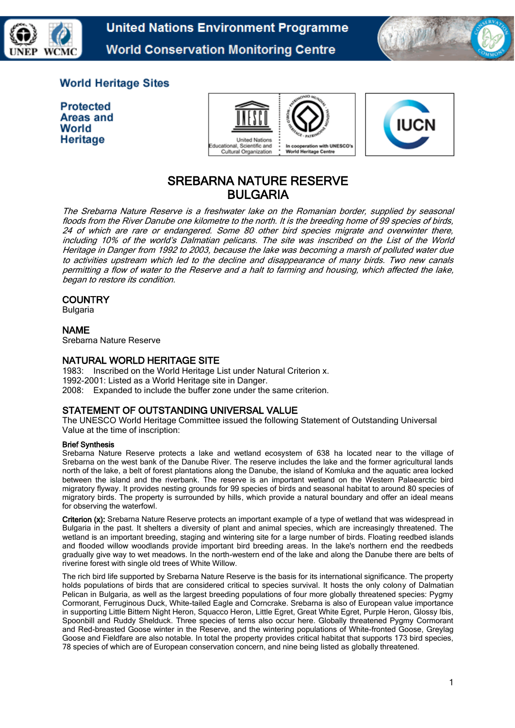

**United Nations Environment Programme World Conservation Monitoring Centre** 



# **World Heritage Sites**

**Protected** Areas and World Heritage



# SREBARNA NATURE RESERVE BULGARIA

The Srebarna Nature Reserve is a freshwater lake on the Romanian border, supplied by seasonal floods from the River Danube one kilometre to the north. It is the breeding home of 99 species of birds, 24 of which are rare or endangered. Some 80 other bird species migrate and overwinter there, including 10% of the world's Dalmatian pelicans. The site was inscribed on the [List of the World](http://www.unesco.org/whc/toc/mainf4.htm)  [Heritage in Danger](http://www.unesco.org/whc/toc/mainf4.htm) from 1992 to 2003, because the lake was becoming a marsh of polluted water due to activities upstream which led to the decline and disappearance of many birds. Two new canals permitting a flow of water to the Reserve and a halt to farming and housing, which affected the lake, began to restore its condition.

# **COUNTRY**

Bulgaria

# NAME

Srebarna Nature Reserve

### NATURAL WORLD HERITAGE SITE

1983: Inscribed on the World Heritage List under Natural Criterion x. 1992-2001: Listed as a World Heritage site in Danger. 2008: Expanded to include the buffer zone under the same criterion.

# STATEMENT OF OUTSTANDING UNIVERSAL VALUE

The UNESCO World Heritage Committee issued the following Statement of Outstanding Universal Value at the time of inscription:

#### Brief Synthesis

Srebarna Nature Reserve protects a lake and wetland ecosystem of 638 ha located near to the village of Srebarna on the west bank of the Danube River. The reserve includes the lake and the former agricultural lands north of the lake, a belt of forest plantations along the Danube, the island of Komluka and the aquatic area locked between the island and the riverbank. The reserve is an important wetland on the Western Palaearctic bird migratory flyway. It provides nesting grounds for 99 species of birds and seasonal habitat to around 80 species of migratory birds. The property is surrounded by hills, which provide a natural boundary and offer an ideal means for observing the waterfowl.

Criterion (x): Srebarna Nature Reserve protects an important example of a type of wetland that was widespread in Bulgaria in the past. It shelters a diversity of plant and animal species, which are increasingly threatened. The wetland is an important breeding, staging and wintering site for a large number of birds. Floating reedbed islands and flooded willow woodlands provide important bird breeding areas. In the lake's northern end the reedbeds gradually give way to wet meadows. In the north-western end of the lake and along the Danube there are belts of riverine forest with single old trees of White Willow.

The rich bird life supported by Srebarna Nature Reserve is the basis for its international significance. The property holds populations of birds that are considered critical to species survival. It hosts the only colony of Dalmatian Pelican in Bulgaria, as well as the largest breeding populations of four more globally threatened species: Pygmy Cormorant, Ferruginous Duck, White-tailed Eagle and Corncrake. Srebarna is also of European value importance in supporting Little Bittern Night Heron, Squacco Heron, Little Egret, Great White Egret, Purple Heron, Glossy lbis, Spoonbill and Ruddy Shelduck. Three species of terns also occur here. Globally threatened Pygmy Cormorant and Red-breasted Goose winter in the Reserve, and the wintering populations of White-fronted Goose, Greylag Goose and Fieldfare are also notable. In total the property provides critical habitat that supports 173 bird species, 78 species of which are of European conservation concern, and nine being listed as globally threatened.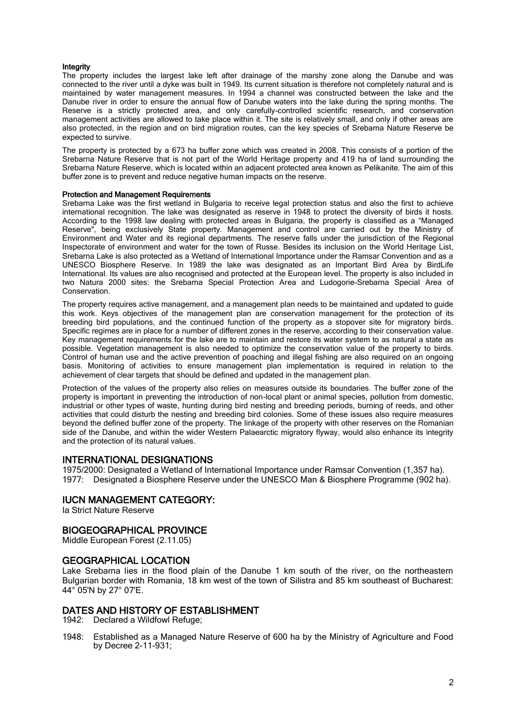#### Integrity

The property includes the largest lake left after drainage of the marshy zone along the Danube and was connected to the river until a dyke was built in 1949. Its current situation is therefore not completely natural and is maintained by water management measures. In 1994 a channel was constructed between the lake and the Danube river in order to ensure the annual flow of Danube waters into the lake during the spring months. The Reserve is a strictly protected area, and only carefully-controlled scientific research, and conservation management activities are allowed to take place within it. The site is relatively small, and only if other areas are also protected, in the region and on bird migration routes, can the key species of Srebarna Nature Reserve be expected to survive.

The property is protected by a 673 ha buffer zone which was created in 2008. This consists of a portion of the Srebarna Nature Reserve that is not part of the World Heritage property and 419 ha of land surrounding the Srebarna Nature Reserve, which is located within an adjacent protected area known as Pelikanite. The aim of this buffer zone is to prevent and reduce negative human impacts on the reserve.

#### Protection and Management Requirements

Srebarna Lake was the first wetland in Bulgaria to receive legal protection status and also the first to achieve international recognition. The lake was designated as reserve in 1948 to protect the diversity of birds it hosts. According to the 1998 law dealing with protected areas in Bulgaria, the property is classified as a "Managed Reserve", being exclusively State property. Management and control are carried out by the Ministry of Environment and Water and its regional departments. The reserve falls under the jurisdiction of the Regional Inspectorate of environment and water for the town of Russe. Besides its inclusion on the World Heritage List, Srebarna Lake is also protected as a Wetland of International Importance under the Ramsar Convention and as a UNESCO Biosphere Reserve. In 1989 the lake was designated as an lmportant Bird Area by BirdLife International. Its values are also recognised and protected at the European level. The property is also included in two Natura 2000 sites: the Srebarna Special Protection Area and Ludogorie-Srebarna Special Area of Conservation.

The property requires active management, and a management plan needs to be maintained and updated to guide this work. Keys objectives of the management plan are conservation management for the protection of its breeding bird populations, and the continued function of the property as a stopover site for migratory birds. Specific regimes are in place for a number of different zones in the reserve, according to their conservation value. Key management requirements for the lake are to maintain and restore its water system to as natural a state as possible. Vegetation management is also needed to optimize the conservation value of the property to birds. Control of human use and the active prevention of poaching and illegal fishing are also required on an ongoing basis. Monitoring of activities to ensure management plan implementation is required in relation to the achievement of clear targets that should be defined and updated in the management plan.

Protection of the values of the property also relies on measures outside its boundaries. The buffer zone of the property is important in preventing the introduction of non-local plant or animal species, pollution from domestic, industrial or other types of waste, hunting during bird nesting and breeding periods, burning of reeds, and other activities that could disturb the nesting and breeding bird colonies. Some of these issues also require measures beyond the defined buffer zone of the property. The linkage of the property with other reserves on the Romanian side of the Danube, and within the wider Western Palaearctic migratory flyway, would also enhance its integrity and the protection of its natural values.

#### INTERNATIONAL DESIGNATIONS

1975/2000: Designated a Wetland of International Importance under Ramsar Convention (1,357 ha). 1977: Designated a Biosphere Reserve under the UNESCO Man & Biosphere Programme (902 ha).

#### IUCN MANAGEMENT CATEGORY:

Ia Strict Nature Reserve

#### BIOGEOGRAPHICAL PROVINCE

Middle European Forest (2.11.05)

#### GEOGRAPHICAL LOCATION

Lake Srebarna lies in the flood plain of the Danube 1 km south of the river, on the northeastern Bulgarian border with Romania, 18 km west of the town of Silistra and 85 km southeast of Bucharest: 44° 05'N by 27° 07'E.

#### DATES AND HISTORY OF ESTABLISHMENT

1942: Declared a Wildfowl Refuge;

1948: Established as a Managed Nature Reserve of 600 ha by the Ministry of Agriculture and Food by Decree 2-11-931;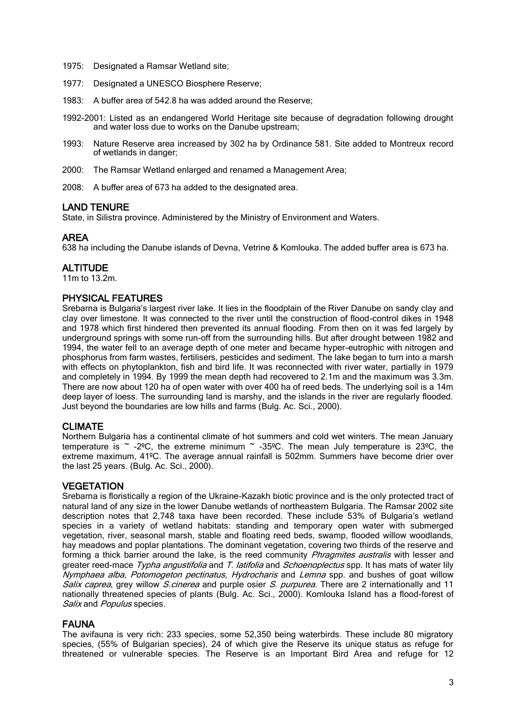- 1975: Designated a Ramsar Wetland site;
- 1977: Designated a UNESCO Biosphere Reserve;
- 1983: A buffer area of 542.8 ha was added around the Reserve;
- 1992-2001: Listed as an endangered World Heritage site because of degradation following drought and water loss due to works on the Danube upstream;
- 1993: Nature Reserve area increased by 302 ha by Ordinance 581. Site added to Montreux record of wetlands in danger;
- 2000: The Ramsar Wetland enlarged and renamed a Management Area;
- 2008: A buffer area of 673 ha added to the designated area.

# LAND TENURE

State, in Silistra province. Administered by the Ministry of Environment and Waters.

# AREA

638 ha including the Danube islands of Devna, Vetrine & Komlouka. The added buffer area is 673 ha.

# **ALTITUDE**

11m to 13.2m.

# PHYSICAL FEATURES

Srebarna is Bulgaria's largest river lake. It lies in the floodplain of the River Danube on sandy clay and clay over limestone. It was connected to the river until the construction of flood-control dikes in 1948 and 1978 which first hindered then prevented its annual flooding. From then on it was fed largely by underground springs with some run-off from the surrounding hills. But after drought between 1982 and 1994, the water fell to an average depth of one meter and became hyper-eutrophic with nitrogen and phosphorus from farm wastes, fertilisers, pesticides and sediment. The lake began to turn into a marsh with effects on phytoplankton, fish and bird life. It was reconnected with river water, partially in 1979 and completely in 1994. By 1999 the mean depth had recovered to 2.1m and the maximum was 3.3m. There are now about 120 ha of open water with over 400 ha of reed beds. The underlying soil is a 14m deep layer of loess. The surrounding land is marshy, and the islands in the river are regularly flooded. Just beyond the boundaries are low hills and farms (Bulg. Ac. Sci., 2000).

# CLIMATE

Northern Bulgaria has a continental climate of hot summers and cold wet winters. The mean January temperature is  $\sim$  -2°C, the extreme minimum  $\sim$  -35°C. The mean July temperature is 23°C, the extreme maximum, 41ºC. The average annual rainfall is 502mm. Summers have become drier over the last 25 years. (Bulg. Ac. Sci., 2000).

# **VEGETATION**

Srebarna is floristically a region of the Ukraine-Kazakh biotic province and is the only protected tract of natural land of any size in the lower Danube wetlands of northeastern Bulgaria. The Ramsar 2002 site description notes that 2,748 taxa have been recorded. These include 53% of Bulgaria's wetland species in a variety of wetland habitats: standing and temporary open water with submerged vegetation, river, seasonal marsh, stable and floating reed beds, swamp, flooded willow woodlands, hay meadows and poplar plantations. The dominant vegetation, covering two thirds of the reserve and forming a thick barrier around the lake, is the reed community *Phragmites australis* with lesser and greater reed-mace Typha angustifolia and T. latifolia and Schoenoplectus spp. It has mats of water lily Nymphaea alba, Potomogeton pectinatus, Hydrocharis and Lemna spp. and bushes of goat willow Salix caprea, grey willow *S.cinerea* and purple osier *S. purpurea*. There are 2 internationally and 11 nationally threatened species of plants (Bulg. Ac. Sci., 2000). Komlouka Island has a flood-forest of Salix and Populus species.

#### FAUNA

The avifauna is very rich: 233 species, some 52,350 being waterbirds. These include 80 migratory species, (55% of Bulgarian species), 24 of which give the Reserve its unique status as refuge for threatened or vulnerable species. The Reserve is an Important Bird Area and refuge for 12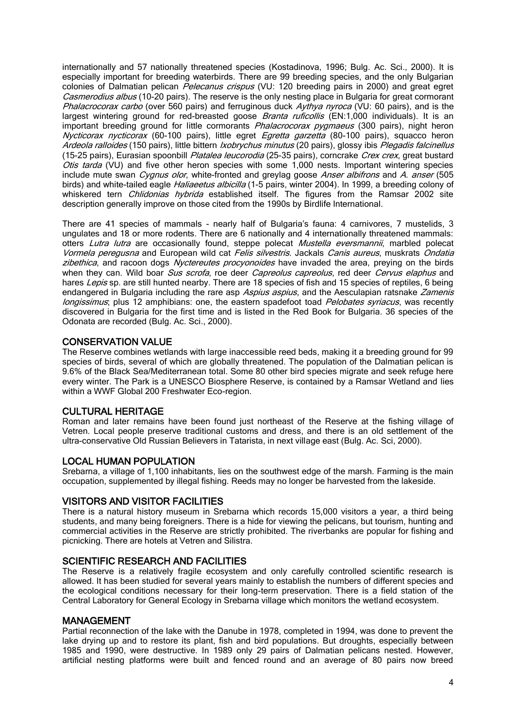internationally and 57 nationally threatened species (Kostadinova, 1996; Bulg. Ac. Sci., 2000). It is especially important for breeding waterbirds. There are 99 breeding species, and the only Bulgarian colonies of Dalmatian pelican Pelecanus crispus (VU: 120 breeding pairs in 2000) and great egret Casmerodius albus (10-20 pairs). The reserve is the only nesting place in Bulgaria for great cormorant Phalacrocorax carbo (over 560 pairs) and ferruginous duck Aythya nyroca (VU: 60 pairs), and is the largest wintering ground for red-breasted goose *Branta ruficollis* (EN:1,000 individuals). It is an important breeding ground for little cormorants *Phalacrocorax pygmaeus* (300 pairs), night heron Nycticorax nycticorax (60-100 pairs), little egret *Egretta garzetta* (80-100 pairs), squacco heron Ardeola ralloides (150 pairs), little bittern *Ixobrychus minutus* (20 pairs), glossy ibis Plegadis falcinellus (15-25 pairs), Eurasian spoonbill Platalea leucorodia (25-35 pairs), corncrake Crex crex, great bustard Otis tarda (VU) and five other heron species with some  $1,000$  nests. Important wintering species include mute swan *Cvanus olor*, white-fronted and grevlag goose Anser albifrons and A. anser (505 birds) and white-tailed eagle *Haliaeetus albicilla* (1-5 pairs, winter 2004). In 1999, a breeding colony of whiskered tern *Chlidonias hybrida* established itself. The figures from the Ramsar 2002 site description generally improve on those cited from the 1990s by Birdlife International.

There are 41 species of mammals - nearly half of Bulgaria's fauna: 4 carnivores, 7 mustelids, 3 ungulates and 18 or more rodents. There are 6 nationally and 4 internationally threatened mammals: otters Lutra lutra are occasionally found, steppe polecat Mustella eversmannii, marbled polecat Vormela peregusna and European wild cat Felis silvestris. Jackals Canis aureus, muskrats Ondatia zibethica, and racoon dogs Nyctereutes procyonoides have invaded the area, preying on the birds when they can. Wild boar *Sus scrofa*, roe deer *Capreolus capreolus*, red deer *Cervus elaphus* and hares Lepis sp. are still hunted nearby. There are 18 species of fish and 15 species of reptiles, 6 being endangered in Bulgaria including the rare asp Aspius aspius, and the Aesculapian ratsnake Zamenis longissimus; plus 12 amphibians: one, the eastern spadefoot toad *Pelobates syriacus*, was recently discovered in Bulgaria for the first time and is listed in the Red Book for Bulgaria. 36 species of the Odonata are recorded (Bulg. Ac. Sci., 2000).

# CONSERVATION VALUE

The Reserve combines wetlands with large inaccessible reed beds, making it a breeding ground for 99 species of birds, several of which are globally threatened. The population of the Dalmatian pelican is 9.6% of the Black Sea/Mediterranean total. Some 80 other bird species migrate and seek refuge here every winter. The Park is a UNESCO Biosphere Reserve, is contained by a Ramsar Wetland and lies within a WWF Global 200 Freshwater Eco-region.

# CULTURAL HERITAGE

Roman and later remains have been found just northeast of the Reserve at the fishing village of Vetren. Local people preserve traditional customs and dress, and there is an old settlement of the ultra-conservative Old Russian Believers in Tatarista, in next village east (Bulg. Ac. Sci, 2000).

# LOCAL HUMAN POPULATION

Srebarna, a village of 1,100 inhabitants, lies on the southwest edge of the marsh. Farming is the main occupation, supplemented by illegal fishing. Reeds may no longer be harvested from the lakeside.

# VISITORS AND VISITOR FACILITIES

There is a natural history museum in Srebarna which records 15,000 visitors a year, a third being students, and many being foreigners. There is a hide for viewing the pelicans, but tourism, hunting and commercial activities in the Reserve are strictly prohibited. The riverbanks are popular for fishing and picnicking. There are hotels at Vetren and Silistra.

# SCIENTIFIC RESEARCH AND FACILITIES

The Reserve is a relatively fragile ecosystem and only carefully controlled scientific research is allowed. It has been studied for several years mainly to establish the numbers of different species and the ecological conditions necessary for their long-term preservation. There is a field station of the Central Laboratory for General Ecology in Srebarna village which monitors the wetland ecosystem.

#### MANAGEMENT

Partial reconnection of the lake with the Danube in 1978, completed in 1994, was done to prevent the lake drying up and to restore its plant, fish and bird populations. But droughts, especially between 1985 and 1990, were destructive. In 1989 only 29 pairs of Dalmatian pelicans nested. However, artificial nesting platforms were built and fenced round and an average of 80 pairs now breed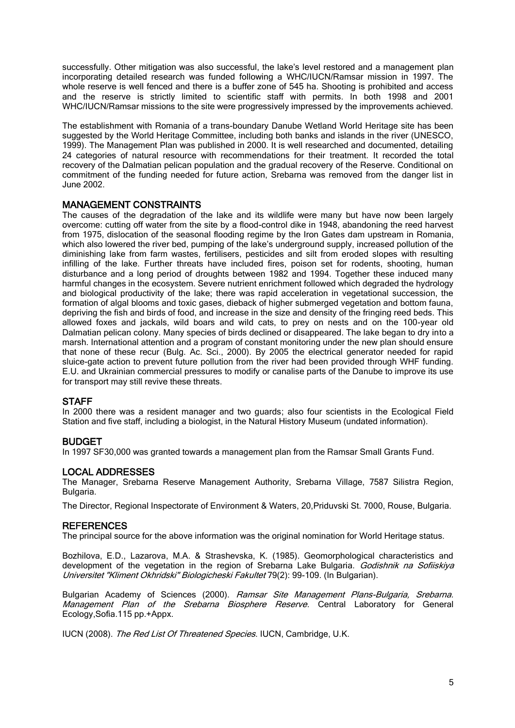successfully. Other mitigation was also successful, the lake's level restored and a management plan incorporating detailed research was funded following a WHC/IUCN/Ramsar mission in 1997. The whole reserve is well fenced and there is a buffer zone of 545 ha. Shooting is prohibited and access and the reserve is strictly limited to scientific staff with permits. In both 1998 and 2001 WHC/IUCN/Ramsar missions to the site were progressively impressed by the improvements achieved.

The establishment with Romania of a trans-boundary Danube Wetland World Heritage site has been suggested by the World Heritage Committee, including both banks and islands in the river (UNESCO, 1999). The Management Plan was published in 2000. It is well researched and documented, detailing 24 categories of natural resource with recommendations for their treatment. It recorded the total recovery of the Dalmatian pelican population and the gradual recovery of the Reserve. Conditional on commitment of the funding needed for future action, Srebarna was removed from the danger list in June 2002.

### MANAGEMENT CONSTRAINTS

The causes of the degradation of the lake and its wildlife were many but have now been largely overcome: cutting off water from the site by a flood-control dike in 1948, abandoning the reed harvest from 1975, dislocation of the seasonal flooding regime by the Iron Gates dam upstream in Romania, which also lowered the river bed, pumping of the lake's underground supply, increased pollution of the diminishing lake from farm wastes, fertilisers, pesticides and silt from eroded slopes with resulting infilling of the lake. Further threats have included fires, poison set for rodents, shooting, human disturbance and a long period of droughts between 1982 and 1994. Together these induced many harmful changes in the ecosystem. Severe nutrient enrichment followed which degraded the hydrology and biological productivity of the lake; there was rapid acceleration in vegetational succession, the formation of algal blooms and toxic gases, dieback of higher submerged vegetation and bottom fauna, depriving the fish and birds of food, and increase in the size and density of the fringing reed beds. This allowed foxes and jackals, wild boars and wild cats, to prey on nests and on the 100-year old Dalmatian pelican colony. Many species of birds declined or disappeared. The lake began to dry into a marsh. International attention and a program of constant monitoring under the new plan should ensure that none of these recur (Bulg. Ac. Sci., 2000). By 2005 the electrical generator needed for rapid sluice-gate action to prevent future pollution from the river had been provided through WHF funding. E.U. and Ukrainian commercial pressures to modify or canalise parts of the Danube to improve its use for transport may still revive these threats.

# **STAFF**

In 2000 there was a resident manager and two guards; also four scientists in the Ecological Field Station and five staff, including a biologist, in the Natural History Museum (undated information).

#### BUDGET

In 1997 SF30,000 was granted towards a management plan from the Ramsar Small Grants Fund.

#### LOCAL ADDRESSES

The Manager, Srebarna Reserve Management Authority, Srebarna Village, 7587 Silistra Region, Bulgaria.

The Director, Regional Inspectorate of Environment & Waters, 20,Priduvski St. 7000, Rouse, Bulgaria.

#### **REFERENCES**

The principal source for the above information was the original nomination for World Heritage status.

Bozhilova, E.D., Lazarova, M.A. & Strashevska, K. (1985). Geomorphological characteristics and development of the vegetation in the region of Srebarna Lake Bulgaria. Godishnik na Sofiiskiya Universitet "Kliment Okhridski" Biologicheski Fakultet 79(2): 99-109. (In Bulgarian).

Bulgarian Academy of Sciences (2000). Ramsar Site Management Plans-Bulgaria, Srebarna. Management Plan of the Srebarna Biosphere Reserve. Central Laboratory for General Ecology,Sofia.115 pp.+Appx.

IUCN (2008). The Red List Of Threatened Species. IUCN, Cambridge, U.K.